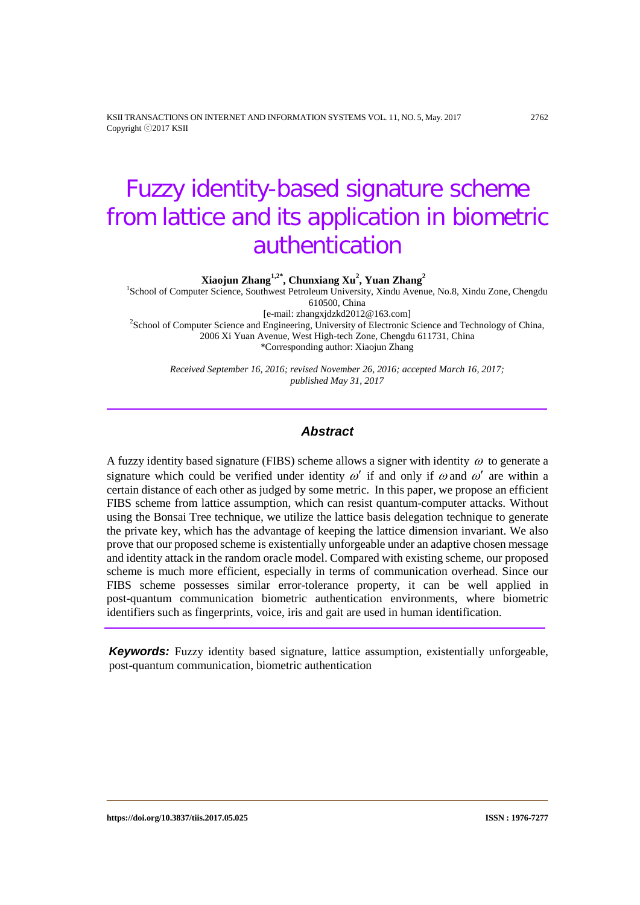KSII TRANSACTIONS ON INTERNET AND INFORMATION SYSTEMS VOL. 11, NO. 5, May. 2017 2762 Copyright ⓒ2017 KSII

# Fuzzy identity-based signature scheme from lattice and its application in biometric authentication

**Xiaojun Zhang1,2\* , Chunxiang Xu2 , Yuan Zhang<sup>2</sup>**

1 School of Computer Science, Southwest Petroleum University, Xindu Avenue, No.8, Xindu Zone, Chengdu 610500, China<br>[e-mail: zhangxjdzkd2012@163.com]

[e-mail: zhangxjdzkd2012@163.com] <sup>2</sup> School of Computer Science and Engineering, University of Electronic Science and Technology of China, 2006 Xi Yuan Avenue, West High-tech Zone, Chengdu 611731, China \*Corresponding author: Xiaojun Zhang

*Received September 16, 2016; revised November 26, 2016; accepted March 16, 2017; published May 31, 2017*

## *Abstract*

A fuzzy identity based signature (FIBS) scheme allows a signer with identity  $\omega$  to generate a signature which could be verified under identity  $\omega'$  if and only if  $\omega$  and  $\omega'$  are within a certain distance of each other as judged by some metric. In this paper, we propose an efficient FIBS scheme from lattice assumption, which can resist quantum-computer attacks. Without using the Bonsai Tree technique, we utilize the lattice basis delegation technique to generate the private key, which has the advantage of keeping the lattice dimension invariant. We also prove that our proposed scheme is existentially unforgeable under an adaptive chosen message and identity attack in the random oracle model. Compared with existing scheme, our proposed scheme is much more efficient, especially in terms of communication overhead. Since our FIBS scheme possesses similar error-tolerance property, it can be well applied in post-quantum communication biometric authentication environments, where biometric identifiers such as fingerprints, voice, iris and gait are used in human identification.

**Keywords:** Fuzzy identity based signature, lattice assumption, existentially unforgeable, post-quantum communication, biometric authentication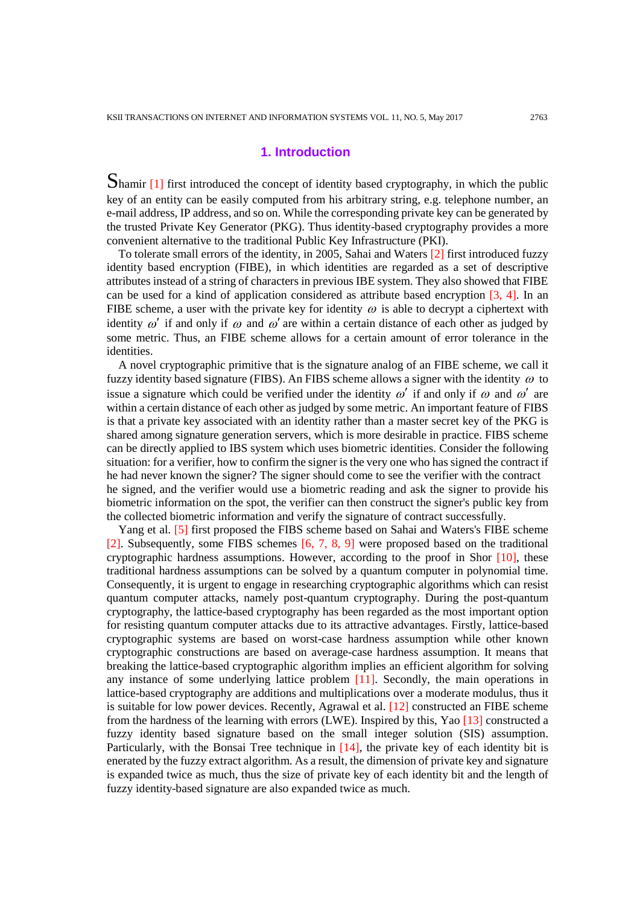# **1. Introduction**

Shamir [1] first introduced the concept of identity based cryptography, in which the public key of an entity can be easily computed from his arbitrary string, e.g. telephone number, an e-mail address, IP address, and so on. While the corresponding private key can be generated by the trusted Private Key Generator (PKG). Thus identity-based cryptography provides a more convenient alternative to the traditional Public Key Infrastructure (PKI).

To tolerate small errors of the identity, in 2005, Sahai and Waters [2] first introduced fuzzy identity based encryption (FIBE), in which identities are regarded as a set of descriptive attributes instead of a string of characters in previous IBE system. They also showed that FIBE can be used for a kind of application considered as attribute based encryption  $\lceil 3, 4 \rceil$ . In an FIBE scheme, a user with the private key for identity  $\omega$  is able to decrypt a ciphertext with identity  $\omega'$  if and only if  $\omega$  and  $\omega'$  are within a certain distance of each other as judged by some metric. Thus, an FIBE scheme allows for a certain amount of error tolerance in the identities.

A novel cryptographic primitive that is the signature analog of an FIBE scheme, we call it fuzzy identity based signature (FIBS). An FIBS scheme allows a signer with the identity  $\omega$  to issue a signature which could be verified under the identity  $\omega'$  if and only if  $\omega$  and  $\omega'$  are within a certain distance of each other as judged by some metric. An important feature of FIBS is that a private key associated with an identity rather than a master secret key of the PKG is shared among signature generation servers, which is more desirable in practice. FIBS scheme can be directly applied to IBS system which uses biometric identities. Consider the following situation: for a verifier, how to confirm the signer is the very one who has signed the contract if he had never known the signer? The signer should come to see the verifier with the contract he signed, and the verifier would use a biometric reading and ask the signer to provide his biometric information on the spot, the verifier can then construct the signer's public key from the collected biometric information and verify the signature of contract successfully.

Yang et al. [5] first proposed the FIBS scheme based on Sahai and Waters's FIBE scheme [2]. Subsequently, some FIBS schemes [6, 7, 8, 9] were proposed based on the traditional cryptographic hardness assumptions. However, according to the proof in Shor  $[10]$ , these traditional hardness assumptions can be solved by a quantum computer in polynomial time. Consequently, it is urgent to engage in researching cryptographic algorithms which can resist quantum computer attacks, namely post-quantum cryptography. During the post-quantum cryptography, the lattice-based cryptography has been regarded as the most important option for resisting quantum computer attacks due to its attractive advantages. Firstly, lattice-based cryptographic systems are based on worst-case hardness assumption while other known cryptographic constructions are based on average-case hardness assumption. It means that breaking the lattice-based cryptographic algorithm implies an efficient algorithm for solving any instance of some underlying lattice problem [11]. Secondly, the main operations in lattice-based cryptography are additions and multiplications over a moderate modulus, thus it is suitable for low power devices. Recently, Agrawal et al. [12] constructed an FIBE scheme from the hardness of the learning with errors (LWE). Inspired by this, Yao [13] constructed a fuzzy identity based signature based on the small integer solution (SIS) assumption. Particularly, with the Bonsai Tree technique in [14], the private key of each identity bit is enerated by the fuzzy extract algorithm. As a result, the dimension of private key and signature is expanded twice as much, thus the size of private key of each identity bit and the length of fuzzy identity-based signature are also expanded twice as much.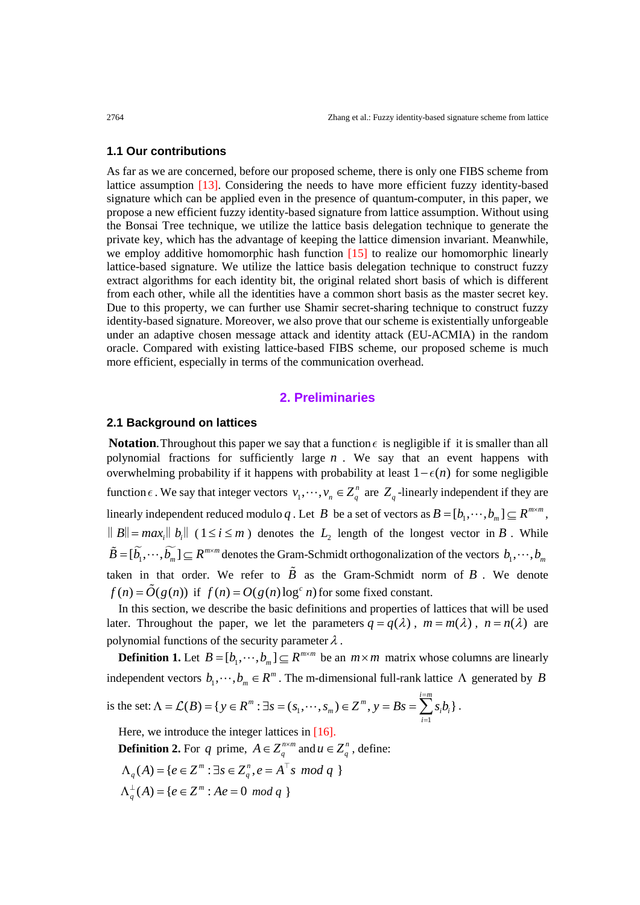#### **1.1 Our contributions**

As far as we are concerned, before our proposed scheme, there is only one FIBS scheme from lattice assumption [13]. Considering the needs to have more efficient fuzzy identity-based signature which can be applied even in the presence of quantum-computer, in this paper, we propose a new efficient fuzzy identity-based signature from lattice assumption. Without using the Bonsai Tree technique, we utilize the lattice basis delegation technique to generate the private key, which has the advantage of keeping the lattice dimension invariant. Meanwhile, we employ additive homomorphic hash function [15] to realize our homomorphic linearly lattice-based signature. We utilize the lattice basis delegation technique to construct fuzzy extract algorithms for each identity bit, the original related short basis of which is different from each other, while all the identities have a common short basis as the master secret key. Due to this property, we can further use Shamir secret-sharing technique to construct fuzzy identity-based signature. Moreover, we also prove that our scheme is existentially unforgeable under an adaptive chosen message attack and identity attack (EU-ACMIA) in the random oracle. Compared with existing lattice-based FIBS scheme, our proposed scheme is much more efficient, especially in terms of the communication overhead.

#### **2. Preliminaries**

#### **2.1 Background on lattices**

**Notation.** Throughout this paper we say that a function  $\epsilon$  is negligible if it is smaller than all polynomial fractions for sufficiently large *n* . We say that an event happens with overwhelming probability if it happens with probability at least  $1 - \epsilon(n)$  for some negligible function  $\epsilon$ . We say that integer vectors  $v_1, \dots, v_n \in Z_q^n$  are  $Z_q$ -linearly independent if they are linearly independent reduced modulo *q*. Let *B* be a set of vectors as  $B = [b_1, \dots, b_m] \subseteq R^{m \times m}$ ,  $||B||=max_i ||b_i||$  ( $1 \le i \le m$ ) denotes the  $L_2$  length of the longest vector in *B*. While  $\widetilde{B} = [\widetilde{b_1}, \cdots, \widetilde{b_m}] \subseteq R^{m \times m}$  denotes the Gram-Schmidt orthogonalization of the vectors  $b_1, \cdots, b_m$ taken in that order. We refer to  $\tilde{B}$  as the Gram-Schmidt norm of  $B$ . We denote  $f(n) = \tilde{O}(g(n))$  if  $f(n) = O(g(n) \log^c n)$  for some fixed constant.

In this section, we describe the basic definitions and properties of lattices that will be used later. Throughout the paper, we let the parameters  $q = q(\lambda)$ ,  $m = m(\lambda)$ ,  $n = n(\lambda)$  are polynomial functions of the security parameter  $\lambda$  .

**Definition 1.** Let  $B = [b_1, \dots, b_m] \subseteq R^{m \times m}$  be an  $m \times m$  matrix whose columns are linearly independent vectors  $b_1, \dots, b_m \in \mathbb{R}^m$ . The m-dimensional full-rank lattice  $\Lambda$  generated by *B* =

is the set:  $\Lambda = \mathcal{L}(B) = \{ y \in R^m : \exists s = (s_1) \}$ 1  $(B) = \{ y \in R^m : \exists s = (s_1, \dots, s_m) \in Z^m, y = Bs = \sum_{i=1}^{n} s_i b_i \}$  $_{m}$ /  $\subset$  *i*  $_{s}$   $_{y}$   $_{Ds}$   $_{\sim}$   $_{i}$   $_{i}$   $_{i}$ *i*  $B$ ) = {  $y \in R^m$  :  $\exists s = (s_1, \dots, s_m) \in Z^m$ ,  $y = Bs = \sum s_i b_i$  $\Lambda = \mathcal{L}(B) = \{ y \in R^m : \exists s = (s_1, \dots, s_m) \in Z^m, y = Bs = \sum_{i=1}^s s_i b_i \}.$ 

Here, we introduce the integer lattices in [16].

**Definition 2.** For *q* prime,  $A \in Z_q^{n \times m}$  and  $u \in Z_q^n$ , define:

$$
\Lambda_q(A) = \{ e \in Z^m : \exists s \in Z_q^n, e = A^\top s \mod q \}
$$

$$
\Lambda_q^{\perp}(A) = \{e \in Z^m : Ae = 0 \mod q \}
$$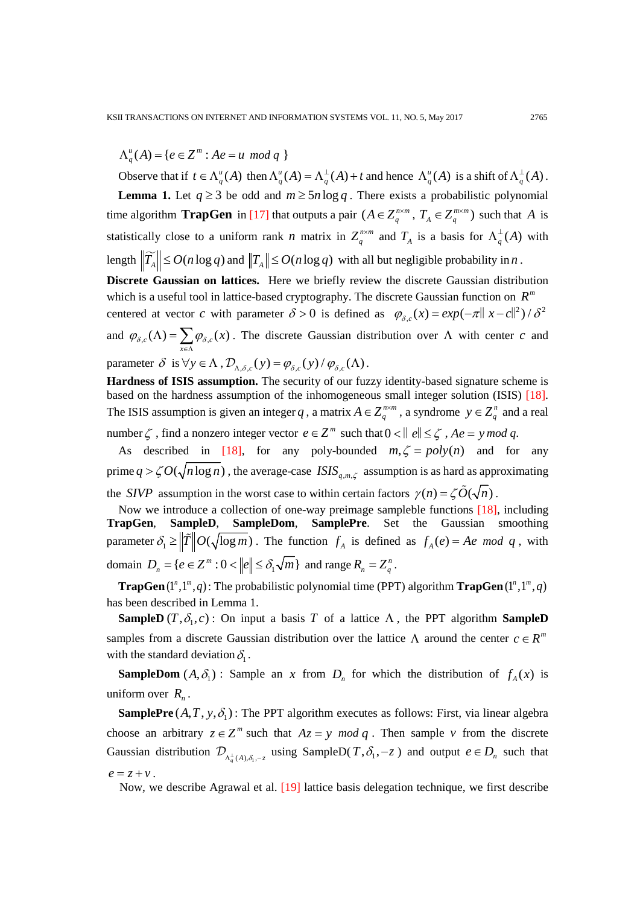$\Lambda_q^u(A) = \{ e \in Z^m : Ae = u \mod q \}$ 

Observe that if  $t \in \Lambda_q^u(A)$  then  $\Lambda_q^u(A) = \Lambda_q^{\perp}(A) + t$  and hence  $\Lambda_q^u(A)$  is a shift of  $\Lambda_q^{\perp}(A)$ . **Lemma 1.** Let  $q \ge 3$  be odd and  $m \ge 5n \log q$ . There exists a probabilistic polynomial time algorithm **TrapGen** in [17] that outputs a pair  $(A \in Z_q^{n \times m}, T_A \in Z_q^{m \times m})$  such that A is statistically close to a uniform rank *n* matrix in  $Z_q^{n \times m}$  and  $T_A$  is a basis for  $\Lambda_q^{\perp}(A)$  with length  $\|\widetilde{T_A}\| \le O(n \log q)$  and  $\|T_A\| \le O(n \log q)$  with all but negligible probability in *n*. **Discrete Gaussian on lattices.** Here we briefly review the discrete Gaussian distribution which is a useful tool in lattice-based cryptography. The discrete Gaussian function on  $R^m$ centered at vector *c* with parameter  $\delta > 0$  is defined as  $\varphi_{\delta,c}(x) = exp(-\pi ||x-c||^2) / \delta^2$ 

and  $\varphi_{\delta,c}(\Lambda) = \sum \varphi_{\delta,c}(x)$ *x*  $\varphi_{\delta,c}(\Lambda) = \sum \varphi_{\delta,c}(x)$  $\Lambda$ ) =  $\sum_{x \in \Lambda} \varphi_{\delta,c}(x)$ . The discrete Gaussian distribution over  $\Lambda$  with center *c* and

parameter  $\delta$  is  $\forall y \in \Lambda$ ,  $\mathcal{D}_{\Lambda,\delta,c}(y) = \varphi_{\delta,c}(y) / \varphi_{\delta,c}(\Lambda)$ .

**Hardness of ISIS assumption.** The security of our fuzzy identity-based signature scheme is based on the hardness assumption of the inhomogeneous small integer solution (ISIS) [18]. The ISIS assumption is given an integer *q*, a matrix  $A \in Z_q^{n \times m}$ , a syndrome  $y \in Z_q^n$  and a real

number  $\zeta$ , find a nonzero integer vector  $e \in \mathbb{Z}^m$  such that  $0 < ||e|| \leq \zeta$ ,  $Ae = y \mod q$ .

As described in [18], for any poly-bounded  $m, \zeta = poly(n)$  and for any prime  $q > \zeta O(\sqrt{n \log n})$ , the average-case *ISIS*<sub>q,m, $\zeta$ </sub> assumption is as hard as approximating the *SIVP* assumption in the worst case to within certain factors  $\gamma(n) = \zeta \tilde{O}(\sqrt{n})$ .

Now we introduce a collection of one-way preimage sampleble functions [18], including **TrapGen**, **SampleD**, **SampleDom**, **SamplePre**. Set the Gaussian smoothing parameter  $\delta_1 \ge \left\|\tilde{T}\right\|O(\sqrt{\log m})$ . The function  $f_A$  is defined as  $f_A(e) = Ae \mod q$ , with domain  $D_n = \{ e \in \mathbb{Z}^m : 0 < ||e|| \le \delta_1 \sqrt{m} \}$  and range  $R_n = \mathbb{Z}_q^n$ .

**TrapGen**( $1^n, 1^m, q$ ): The probabilistic polynomial time (PPT) algorithm **TrapGen**( $1^n, 1^m, q$ ) has been described in Lemma 1.

**SampleD**  $(T, \delta_1, c)$ : On input a basis *T* of a lattice  $\Lambda$ , the PPT algorithm **SampleD** samples from a discrete Gaussian distribution over the lattice  $\Lambda$  around the center  $c \in \mathbb{R}^m$ with the standard deviation  $\delta_1$ .

**SampleDom**  $(A, \delta_1)$ : Sample an *x* from  $D_n$  for which the distribution of  $f_A(x)$  is uniform over  $R_n$ .

**SamplePre**  $(A, T, y, \delta_1)$ : The PPT algorithm executes as follows: First, via linear algebra choose an arbitrary  $z \in \mathbb{Z}^m$  such that  $Az = y \mod q$ . Then sample *v* from the discrete Gaussian distribution  $\mathcal{D}_{\Lambda^{\perp}_\alpha(A), \delta_i, -z}$  using SampleD(T,  $\delta_i$ , -z) and output  $e \in D_n$  such that  $e = z + v$ .

Now, we describe Agrawal et al. [19] lattice basis delegation technique, we first describe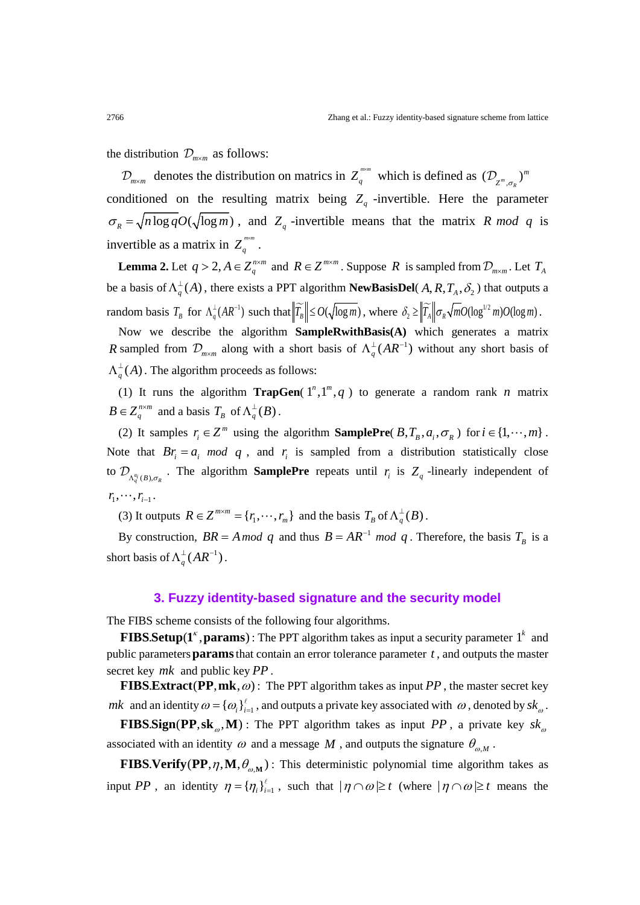the distribution  $\mathcal{D}_{m \times m}$  as follows:

 $\mathcal{D}_{m \times m}$  denotes the distribution on matrics in  $Z_q^{m \times m}$  which is defined as  $(\mathcal{D}_{Z^m, \sigma_R})^m$ conditioned on the resulting matrix being  $Z_q$  -invertible. Here the parameter  $\sigma_R = \sqrt{n \log q} O(\sqrt{\log m})$ , and  $Z_q$ -invertible means that the matrix *R mod q* is invertible as a matrix in  $Z_q^{\text{max}}$ .

**Lemma 2.** Let  $q > 2$ ,  $A \in Z_q^{n \times m}$  and  $R \in Z^{m \times m}$ . Suppose R is sampled from  $\mathcal{D}_{m \times m}$ . Let  $T_A$ be a basis of  $\Lambda_q^{\perp}(A)$ , there exists a PPT algorithm **NewBasisDel**( $A, R, T_A, \delta_2$ ) that outputs a  $\text{random basis } T_B \text{ for } \Lambda_q^{\perp}(AR^{-1}) \text{ such that } \|T_B\| \le O(\sqrt{\log m}) \text{, where } \delta_2 \ge \|T_A\| \sigma_R \sqrt{m}O(\log^{1/2}m)O(\log m) \text{ .}$ 

Now we describe the algorithm **SampleRwithBasis(A)** which generates a matrix *R* sampled from  $\mathcal{D}_{m \times m}$  along with a short basis of  $\Lambda_q^{\perp}(AR^{-1})$  without any short basis of  $\Lambda_q^{\perp}(A)$  . The algorithm proceeds as follows:

(1) It runs the algorithm **TrapGen**( $1^n, 1^m, q$ ) to generate a random rank *n* matrix  $B \in Z_q^{n \times m}$  and a basis  $T_B$  of  $\Lambda_q^{\perp}(B)$ .

(2) It samples  $r_i \in \mathbb{Z}^m$  using the algorithm **SamplePre**( $B, T_B, a_i, \sigma_R$ ) for  $i \in \{1, \dots, m\}$ . Note that  $Br_i = a_i \mod q$ , and  $r_i$  is sampled from a distribution statistically close to  $\mathcal{D}_{\Lambda_q^{a_i}(B),\sigma_R}$ . The algorithm **SamplePre** repeats until  $r_i$  is  $Z_q$  -linearly independent of  $r_1, \cdots, r_{i-1}$ .

(3) It outputs  $R \in \mathbb{Z}^{m \times m} = \{r_1, \dots, r_m\}$  and the basis  $T_B$  of  $\Lambda_q^{\perp}(B)$ .

By construction,  $BR = A \mod q$  and thus  $B = AR^{-1} \mod q$ . Therefore, the basis  $T_B$  is a short basis of  $\Lambda_q^{\perp}(AR^{-1})$ .

## **3. Fuzzy identity-based signature and the security model**

The FIBS scheme consists of the following four algorithms.

**FIBS.Setup**( $1^k$ , **params**): The PPT algorithm takes as input a security parameter  $1^k$  and public parameters**params**that contain an error tolerance parameter *t* , and outputs the master secret key *mk* and public key *PP* .

**FIBS.Extract (PP, mk,**  $\omega$ **)**: The PPT algorithm takes as input *PP*, the master secret key *mk* and an identity  $\omega = {\{\omega_i\}}_{i=1}^{\ell}$ , and outputs a private key associated with  $\omega$ , denoted by  $sk_{\omega}$ .

**FIBS Sign (PP, sk**<sub>ω</sub>, **M**): The PPT algorithm takes as input *PP*, a private key  $sk_{\omega}$ associated with an identity  $\omega$  and a message  $M$ , and outputs the signature  $\theta_{\omega,M}$ .

**FIBS.Verify (PP,**  $\eta$ **, M,**  $\theta_{\varphi,M}$ **) : This deterministic polynomial time algorithm takes as** input *PP*, an identity  $\eta = {\eta_i}_{i=1}^{\ell}$ , such that  $|\eta \cap \omega| \ge t$  (where  $|\eta \cap \omega| \ge t$  means the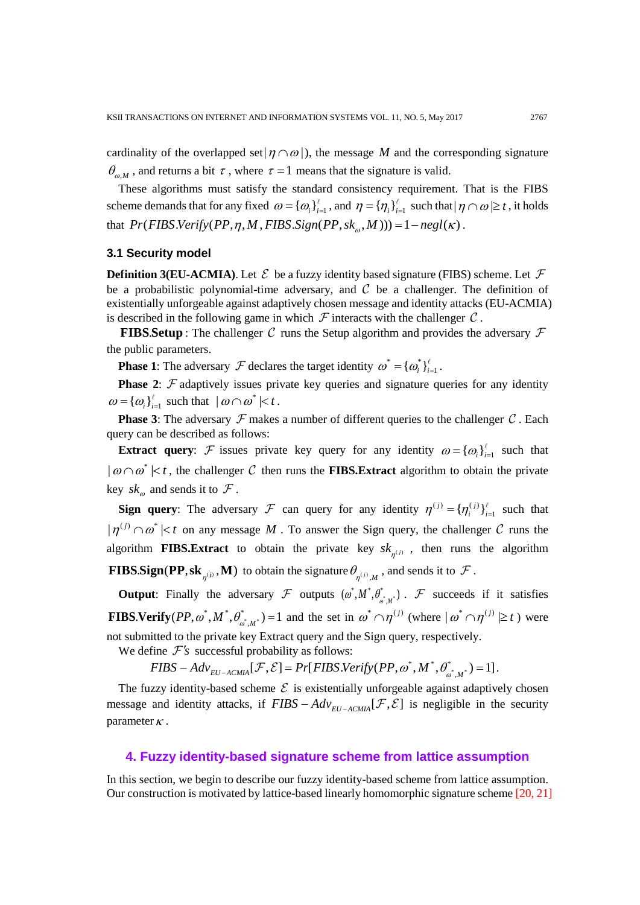cardinality of the overlapped set $| \eta \cap \omega |$ , the message *M* and the corresponding signature  $\theta_{\omega M}$ , and returns a bit  $\tau$ , where  $\tau = 1$  means that the signature is valid.

These algorithms must satisfy the standard consistency requirement. That is the FIBS scheme demands that for any fixed  $\omega = {\{\omega_i\}}_{i=1}^{\ell}$ , and  $\eta = {\{\eta_i\}}_{i=1}^{\ell}$  such that  $|\eta \cap \omega| \ge t$ , it holds that  $Pr(FIBS. Verify(PP, \eta, M, FIBS. Sign(PP, sk_{\omega}, M))) = 1 - negl(\kappa)$ .

#### **3.1 Security model**

**Definition 3(EU-ACMIA).** Let  $\mathcal{E}$  be a fuzzy identity based signature (FIBS) scheme. Let  $\mathcal{F}$ be a probabilistic polynomial-time adversary, and  $\mathcal C$  be a challenger. The definition of existentially unforgeable against adaptively chosen message and identity attacks (EU-ACMIA) is described in the following game in which  $\mathcal F$  interacts with the challenger  $\mathcal C$ .

**FIBS Setup** : The challenger C runs the Setup algorithm and provides the adversary  $\mathcal F$ the public parameters.

**Phase 1**: The adversary  $\mathcal F$  declares the target identity  $\omega^* = {\{\omega_i^*\}}_{i=1}^{\ell}$ .

**Phase 2:**  $\mathcal F$  adaptively issues private key queries and signature queries for any identity  $\omega = {\{\omega_i\}}_{i=1}^{\ell}$  such that  $|\omega \cap \omega^*| < t$ .

**Phase 3**: The adversary  $\mathcal F$  makes a number of different queries to the challenger  $\mathcal C$ . Each query can be described as follows:

**Extract query:** F issues private key query for any identity  $\omega = {\omega_i}_{i=1}^l$  such that  $| \omega \cap \omega^* | < t$ , the challenger C then runs the **FIBS. Extract** algorithm to obtain the private key  $sk_{\omega}$  and sends it to  $\mathcal F$ .

**Sign query**: The adversary  $\mathcal{F}$  can query for any identity  $\eta^{(j)} = {\eta_i^{(j)}}_{i=1}^{\ell}$  such that  $|\eta^{(j)} \cap \omega^*| < t$  on any message M. To answer the Sign query, the challenger C runs the algorithm **FIBS.Extract** to obtain the private key  $s k_{n^{(j)}}$ , then runs the algorithm **FIBS.Sign (PP, sk**<sub> $\eta^{(j)}$ </sub>, **M**) to obtain the signature  $\theta_{\eta^{(j)},M}$ , and sends it to  $\mathcal{F}$ .

**Output**: Finally the adversary  $\mathcal{F}$  outputs  $(\omega^*, M^*, \theta^*_{\omega^*, M^*})$ .  $\mathcal{F}$  succeeds if it satisfies **FIBS. Verify**  $(PP, \omega^*, M^*, \theta_{\omega^*, M^*}^*) = 1$  and the set in  $\omega^* \cap \eta^{(j)}$  (where  $|\omega^* \cap \eta^{(j)}| \ge t$ ) were not submitted to the private key Extract query and the Sign query, respectively.

We define  $\mathcal{F}'s$  successful probability as follows:

 $FIBS - Adv_{EU-ACMIA}[\mathcal{F}, \mathcal{E}] = Pr[FIBS.Verify (PP, \omega^*, M^*, \theta^*_{\omega^*, M^*}) = 1]$ .

The fuzzy identity-based scheme  $\mathcal E$  is existentially unforgeable against adaptively chosen message and identity attacks, if  $FIBS - Adv_{EU-ACMA}[\mathcal{F}, \mathcal{E}]$  is negligible in the security parameter  $\kappa$ .

## **4. Fuzzy identity-based signature scheme from lattice assumption**

In this section, we begin to describe our fuzzy identity-based scheme from lattice assumption. Our construction is motivated by lattice-based linearly homomorphic signature scheme [20, 21]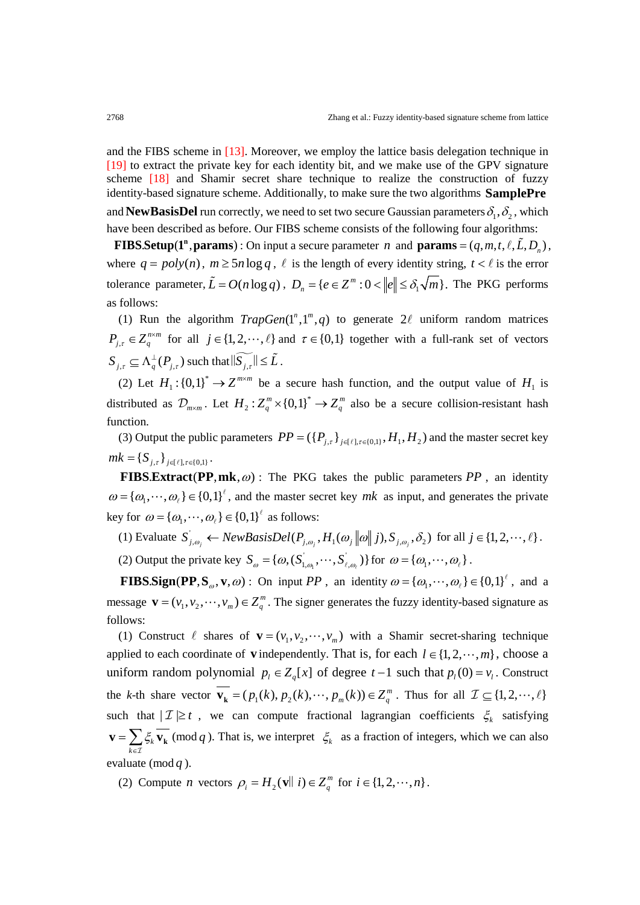and the FIBS scheme in [13]. Moreover, we employ the lattice basis delegation technique in [19] to extract the private key for each identity bit, and we make use of the GPV signature scheme [18] and Shamir secret share technique to realize the construction of fuzzy identity-based signature scheme. Additionally, to make sure the two algorithms **SamplePre** and **NewBasisDel** run correctly, we need to set two secure Gaussian parameters  $\delta_1, \delta_2$ , which have been described as before. Our FIBS scheme consists of the following four algorithms:

**FIBS.Setup**( $\mathbf{1}^n$ , params): On input a secure parameter *n* and  $\mathbf{params} = (q, m, t, \ell, L, D_n)$ , where  $q = poly(n)$ ,  $m \geq 5n \log q$ ,  $\ell$  is the length of every identity string,  $t < \ell$  is the error tolerance parameter,  $\tilde{L} = O(n \log q)$ ,  $D_n = \{e \in \mathbb{Z}^m : 0 < ||e|| \leq \delta_1 \sqrt{m}\}$ . The PKG performs as follows:

(1) Run the algorithm  $TrapGen(1^n, 1^m, q)$  to generate  $2\ell$  uniform random matrices  $P_{j,\tau} \in Z_q^{n \times m}$  for all  $j \in \{1, 2, \dots, \ell\}$  and  $\tau \in \{0,1\}$  together with a full-rank set of vectors  $S_{j,\tau} \subseteq \Lambda_q^{\perp}(P_{j,\tau})$  such that  $\|\widetilde{S_{j,\tau}}\| \leq \tilde{L}$ .

(2) Let  $H_1$ :  $\{0,1\}^* \to Z^{m \times m}$  be a secure hash function, and the output value of  $H_1$  is distributed as  $\mathcal{D}_{m \times m}$ . Let  $H_2: Z_q^m \times \{0,1\}^* \to Z_q^m$  also be a secure collision-resistant hash function.

(3) Output the public parameters  $PP = (\{P_{i,\tau}\}_{i \in \{\ell\}, \tau \in \{0,1\}}, H_1, H_2)$  and the master secret key  $mk = \{ S_{i,\tau} \} _{i \in \{\ell\}, \tau \in \{0,1\}}.$ 

**FIBS.Extract (PP, mk,**  $\omega$ **)** : The PKG takes the public parameters PP, an identity  $\omega = {\omega_1, \cdots, \omega_r} \in {0,1}^{\ell}$ , and the master secret key *mk* as input, and generates the private key for  $\omega = {\omega_1, \cdots, \omega_\ell} \in {0,1}^{\ell}$  as follows:

(1) Evaluate  $S_{j,\omega_j} \leftarrow NewBasisDel(P_{j,\omega_j}, H_1(\omega_j || \omega || j), S_{j,\omega_j}, \delta_2)$  for all  $j \in \{1, 2, \dots, \ell\}$ .

(2) Output the private key  $S_{\omega} = {\{\omega, (S_{1,\omega_1}, \dots, S_{\ell,\omega_\ell})\}}$  for  $\omega = {\{\omega_1, \dots, \omega_\ell\}}$ .

**FIBS Sign (PP, S<sub>ω</sub>, v**,  $\omega$ ) : On input *PP*, an identity  $\omega = {\omega_1, \cdots, \omega_r} \in {0,1}^{\ell}$ , and a message  $\mathbf{v} = (v_1, v_2, \dots, v_m) \in \mathbb{Z}_q^m$ . The signer generates the fuzzy identity-based signature as follows:

(1) Construct  $\ell$  shares of  $\mathbf{v} = (v_1, v_2, \dots, v_m)$  with a Shamir secret-sharing technique applied to each coordinate of **v** independently. That is, for each  $l \in \{1, 2, \dots, m\}$ , choose a uniform random polynomial  $p_l \in Z_q[x]$  of degree  $t-1$  such that  $p_l(0) = v_l$ . Construct the *k*-th share vector  $\mathbf{v}_{k} = (p_1(k), p_2(k), \dots, p_m(k)) \in \mathbb{Z}_q^m$ . Thus for all  $\mathcal{I} \subseteq \{1, 2, \dots, \ell\}$ such that  $|I| \geq t$ , we can compute fractional lagrangian coefficients  $\xi_k$  satisfying *k k* ξ  $\mathbf{v} = \sum_{k \in \mathcal{I}} \xi_k \overline{\mathbf{v}_k}$ (mod *q*). That is, we interpret  $\zeta_k$  as a fraction of integers, which we can also evaluate (mod *q* ).

(2) Compute *n* vectors  $\rho_i = H_2(\mathbf{v} \parallel i) \in Z_q^m$  for  $i \in \{1, 2, \dots, n\}$ .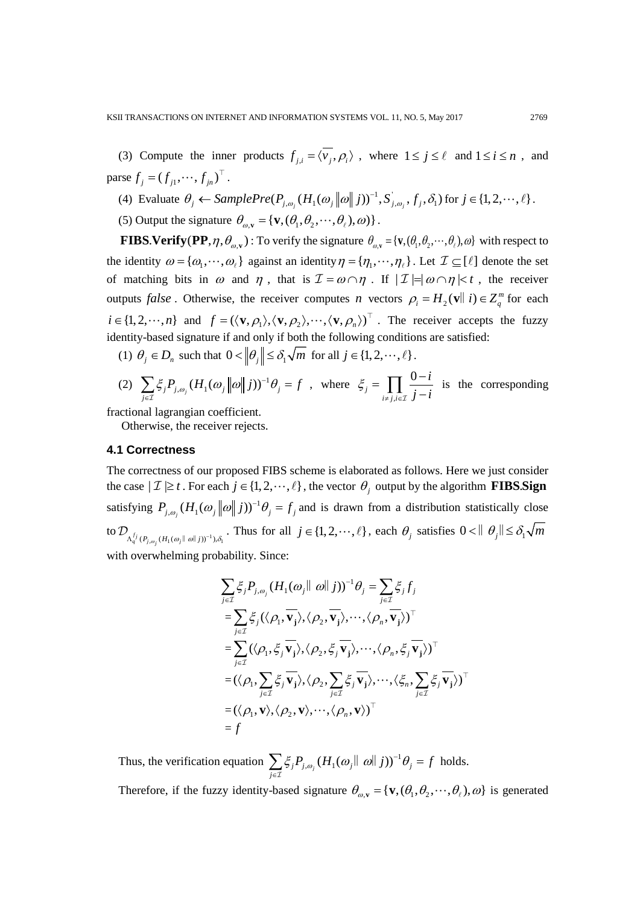(3) Compute the inner products  $f_{j,i} = \langle \overline{v_j}, \rho_i \rangle$ , where  $1 \le j \le \ell$  and  $1 \le i \le n$ , and parse  $f_i = (f_{i1}, \dots, f_{in})^\top$ .

(4) Evaluate  $\theta_j \leftarrow SamplePre(P_{j,\omega_j}(H_1(\omega_j||\omega||j))^{-1}, S_{j,\omega_j}, f_j, \delta_1)$  for  $j \in \{1, 2, \dots, \ell\}$ .

(5) Output the signature  $\theta_{\omega y} = {\bf v}, (\theta_1, \theta_2, \dots, \theta_\ell), \omega)$ .

**FIBS. Verify (PP**,  $\eta$ ,  $\theta_{\omega}$ , ): To verify the signature  $\theta_{\omega}$  = {**v**,  $(\theta_1, \theta_2, \dots, \theta_\ell)$ ,  $\omega$ } with respect to the identity  $\omega = {\omega_1, \dots, \omega_\ell}$  against an identity  $\eta = {\eta_1, \dots, \eta_\ell}$ . Let  $\mathcal{I} \subseteq [\ell]$  denote the set of matching bits in  $\omega$  and  $\eta$ , that is  $\mathcal{I} = \omega \cap \eta$ . If  $|\mathcal{I}| = |\omega \cap \eta| < t$ , the receiver outputs *false*. Otherwise, the receiver computes *n* vectors  $\rho_i = H_2(\mathbf{v} \parallel i) \in Z_a^m$  for each  $i \in \{1, 2, \dots, n\}$  and  $f = (\langle v, \rho_1 \rangle, \langle v, \rho_2 \rangle, \dots, \langle v, \rho_n \rangle)^T$ . The receiver accepts the fuzzy identity-based signature if and only if both the following conditions are satisfied:

(1)  $\theta_j \in D_n$  such that  $0 < ||\theta_j|| \leq \delta_1 \sqrt{m}$  for all  $j \in \{1, 2, \dots, \ell\}$ .

(2) 
$$
\sum_{j\in\mathcal{I}} \xi_j P_{j,\omega_j} (H_1(\omega_j || \omega || j))^{-1} \theta_j = f
$$
, where  $\xi_j = \prod_{i \neq j, i \in \mathcal{I}} \frac{0 - i}{j - i}$  is the corresponding

fractional lagrangian coefficient.

Otherwise, the receiver rejects.

## **4.1 Correctness**

The correctness of our proposed FIBS scheme is elaborated as follows. Here we just consider the case  $|\mathcal{I}| \geq t$ . For each  $j \in \{1, 2, \dots, \ell\}$ , the vector  $\theta_j$  output by the algorithm **FIBS. Sign** satisfying  $P_{j,\omega_j}(H_1(\omega_j||\omega||j))^{-1}\theta_j = f_j$  and is drawn from a distribution statistically close to  $\mathcal{D}_{\Lambda_q^{f_j}(P_{j,\omega_j}(H_1(\omega_j||\omega||j))^{-1}),\delta_1}$ . Thus for all  $j \in \{1,2,\dots,\ell\}$ , each  $\theta_j$  satisfies  $0 < ||\theta_j|| \leq \delta_1 \sqrt{m}$ with overwhelming probability. Since:

$$
\sum_{j\in\mathcal{I}} \xi_j P_{j,\omega_j} (H_1(\omega_j \|\omega\| j))^{-1} \theta_j = \sum_{j\in\mathcal{I}} \xi_j f_j
$$
  
\n
$$
= \sum_{j\in\mathcal{I}} \xi_j (\langle \rho_1, \overline{\mathbf{v}_j} \rangle, \langle \rho_2, \overline{\mathbf{v}_j} \rangle, \cdots, \langle \rho_n, \overline{\mathbf{v}_j} \rangle)^{\top}
$$
  
\n
$$
= \sum_{j\in\mathcal{I}} (\langle \rho_1, \xi_j, \overline{\mathbf{v}_j} \rangle, \langle \rho_2, \xi_j, \overline{\mathbf{v}_j} \rangle, \cdots, \langle \rho_n, \xi_j, \overline{\mathbf{v}_j} \rangle)^{\top}
$$
  
\n
$$
= (\langle \rho_1, \sum_{j\in\mathcal{I}} \xi_j, \overline{\mathbf{v}_j} \rangle, \langle \rho_2, \sum_{j\in\mathcal{I}} \xi_j, \overline{\mathbf{v}_j} \rangle, \cdots, \langle \xi_n, \sum_{j\in\mathcal{I}} \xi_j, \overline{\mathbf{v}_j} \rangle)^{\top}
$$
  
\n
$$
= (\langle \rho_1, \mathbf{v} \rangle, \langle \rho_2, \mathbf{v} \rangle, \cdots, \langle \rho_n, \mathbf{v} \rangle)^{\top}
$$
  
\n
$$
= f
$$

Thus, the verification equation  $\sum_{j \in \mathcal{I}} \xi_j P_{j, \omega_j} (H_1(\omega_j || \omega || j))^{-1} \theta_j$  $\zeta_i P_{i,\omega_i} (H_1(\omega_i || \omega || j))^{-1} \theta_i = f$  $\sum_{j\in\mathcal{I}}\xi_jP_{j,\omega_j}(H_1(\omega_j\|\omega\|j))^{-1}\theta_j=$ holds. Therefore, if the fuzzy identity-based signature  $\theta_{\omega, \mathbf{v}} = {\mathbf{v}, (\theta_1, \theta_2, \cdots, \theta_\ell), \omega}$  is generated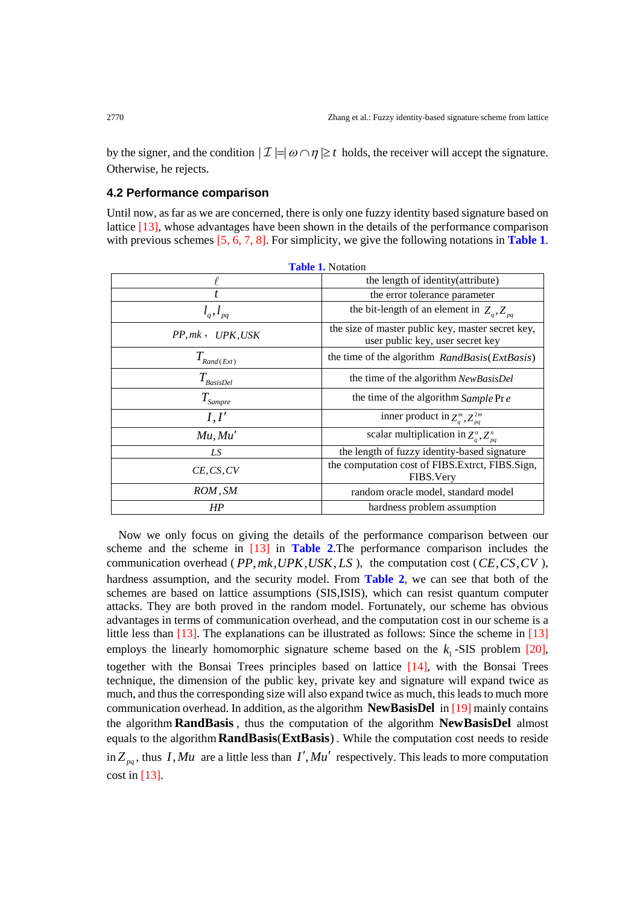by the signer, and the condition  $|\mathcal{I}| = |\omega \cap \eta| \geq t$  holds, the receiver will accept the signature. Otherwise, he rejects.

#### **4.2 Performance comparison**

Until now, as far as we are concerned, there is only one fuzzy identity based signature based on lattice [13], whose advantages have been shown in the details of the performance comparison with previous schemes [5, 6, 7, 8]. For simplicity, we give the following notations in **Table 1**.

| 1000 1010000            |                                                                                       |  |  |  |  |
|-------------------------|---------------------------------------------------------------------------------------|--|--|--|--|
|                         | the length of identity(attribute)                                                     |  |  |  |  |
|                         | the error tolerance parameter                                                         |  |  |  |  |
|                         | the bit-length of an element in $Z_q$ , $Z_{pq}$                                      |  |  |  |  |
| $PP,mk$ , $UPK,USK$     | the size of master public key, master secret key,<br>user public key, user secret key |  |  |  |  |
| $T_{\text{Rand}(Ext)}$  | the time of the algorithm RandBasis(ExtBasis)                                         |  |  |  |  |
| $T_{\textit{BasisDel}}$ | the time of the algorithm NewBasisDel                                                 |  |  |  |  |
| $T_{\textit{Sample}}$   | the time of the algorithm Sample Pr e                                                 |  |  |  |  |
| I, I'                   | inner product in $Z_q^m, Z_{pq}^{2m}$                                                 |  |  |  |  |
| Mu, Mu'                 | scalar multiplication in $Z_a^n, Z_{na}^n$                                            |  |  |  |  |
| LS                      | the length of fuzzy identity-based signature                                          |  |  |  |  |
| CE, CS, CV              | the computation cost of FIBS. Extrct, FIBS. Sign,<br>FIBS. Very                       |  |  |  |  |
| ROM, SM                 | random oracle model, standard model                                                   |  |  |  |  |
| HP                      | hardness problem assumption                                                           |  |  |  |  |

| <b>Table 1. Notation</b> |  |
|--------------------------|--|
|--------------------------|--|

Now we only focus on giving the details of the performance comparison between our scheme and the scheme in [13] in **Table 2**.The performance comparison includes the communication overhead ( $PP, mk, UPK, USK, LS$ ), the computation cost ( $CE, CS, CV$ ), hardness assumption, and the security model. From **Table 2**, we can see that both of the schemes are based on lattice assumptions (SIS,ISIS), which can resist quantum computer attacks. They are both proved in the random model. Fortunately, our scheme has obvious advantages in terms of communication overhead, and the computation cost in our scheme is a little less than [13]. The explanations can be illustrated as follows: Since the scheme in [13] employs the linearly homomorphic signature scheme based on the  $k_1$ -SIS problem [20], together with the Bonsai Trees principles based on lattice [14], with the Bonsai Trees technique, the dimension of the public key, private key and signature will expand twice as much, and thus the corresponding size will also expand twice as much, this leads to much more communication overhead. In addition, as the algorithm **NewBasisDel** in [19] mainly contains the algorithm **RandBasis** , thus the computation of the algorithm **NewBasisDel** almost equals to the algorithm **RandBasis** (ExtBasis). While the computation cost needs to reside in  $Z_{pq}$ , thus *I*, Mu are a little less than *I'*, Mu' respectively. This leads to more computation cost in  $[13]$ .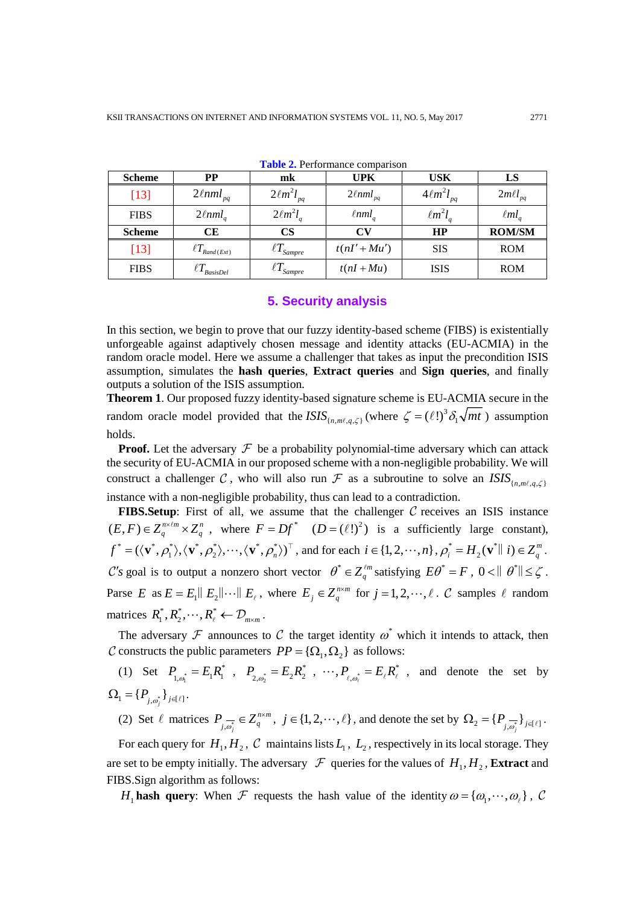| <b>Scheme</b> | PP                          | mk                            | <b>UPK</b>                | USK                | LS              |
|---------------|-----------------------------|-------------------------------|---------------------------|--------------------|-----------------|
| $[13]$        | $2\ell$ nml <sub>pq</sub>   | $2\ell m^2 l_{pq}$            | $2\ell$ nml <sub>pq</sub> | $4\ell m^2 l_{pq}$ | $2m\ell l_{pq}$ |
| <b>FIBS</b>   | $2\ell$ nml <sub>a</sub>    | $2\ell m^2 l_a$               | $\ell$ nml                | $\ell m^2 l$       | $\ellml_a$      |
| <b>Scheme</b> | CE                          | $\mathbf{CS}$                 | СV                        | HP                 | <b>ROM/SM</b>   |
| $[13]$        | $\ell T_{\text{Rand}(Ext)}$ | $\ell T_{\mathit{Sampre}}$    | $t(nI' + Mu')$            | <b>SIS</b>         | <b>ROM</b>      |
| <b>FIBS</b>   | <b>BasisDel</b>             | $\mathcal{L}$ <b>1</b> Sampre | $t(nI+Mu)$                | <b>ISIS</b>        | <b>ROM</b>      |

**Table 2.** Performance comparison

## **5. Security analysis**

In this section, we begin to prove that our fuzzy identity-based scheme (FIBS) is existentially unforgeable against adaptively chosen message and identity attacks (EU-ACMIA) in the random oracle model. Here we assume a challenger that takes as input the precondition ISIS assumption, simulates the **hash queries**, **Extract queries** and **Sign queries**, and finally outputs a solution of the ISIS assumption.

**Theorem 1**. Our proposed fuzzy identity-based signature scheme is EU-ACMIA secure in the random oracle model provided that the *ISIS*  $_{\{n,m\ell,q,\zeta\}}$  (where  $\zeta = (\ell!)^3 \delta_1 \sqrt{mt}$ ) assumption holds.

**Proof.** Let the adversary  $\mathcal F$  be a probability polynomial-time adversary which can attack the security of EU-ACMIA in our proposed scheme with a non-negligible probability. We will construct a challenger C, who will also run  $\mathcal F$  as a subroutine to solve an  $ISIS_{\{n,m\ell,a,\zeta\}}$ instance with a non-negligible probability, thus can lead to a contradiction.

**FIBS. Setup**: First of all, we assume that the challenger  $C$  receives an ISIS instance  $(E, F) \in Z_q^{n \times \ell m} \times Z_q^n$ , where  $F = Df^*$   $(D = (\ell!)^2)$  is a sufficiently large constant),  $f^* = (\langle \mathbf{v}^*, \rho_1^* \rangle, \langle \mathbf{v}^*, \rho_2^* \rangle, \cdots, \langle \mathbf{v}^*, \rho_n^* \rangle)^\top$ , and for each  $i \in \{1, 2, \cdots, n\}$ ,  $\rho_i^* = H_2(\mathbf{v}^* \mid i) \in Z_q^m$ . *C*'s goal is to output a nonzero short vector  $\theta^* \in Z_q^{\ell m}$  satisfying  $E\theta^* = F$ ,  $0 < ||\theta^*|| \leq \zeta$ . Parse *E* as  $E = E_1 ||E_2|| \cdots ||E_\ell$ , where  $E_j \in Z_q^{n \times m}$  for  $j = 1, 2, \dots, \ell$ . C samples  $\ell$  random matrices  $R_1^*, R_2^*, \dots, R_\ell^* \leftarrow \mathcal{D}_{m \times m}$ .

The adversary  $\mathcal F$  announces to  $\mathcal C$  the target identity  $\omega^*$  which it intends to attack, then C constructs the public parameters  $PP = {\Omega_1, \Omega_2}$  as follows:

(1) Set  $P_{1,\omega_1^*} = E_1 R_1^*$ ,  $P_{2,\omega_2^*} = E_2 R_2^*$ ,  $\cdots$ ,  $P_{\ell,\omega_\ell^*} = E_\ell R_\ell^*$ , and denote the set by  $\Omega_1 = \{ P_{j,\omega_j^*} \}_{j \in [\ell]}$ .

(2) Set  $\ell$  matrices  $P_{\overrightarrow{j}, \overrightarrow{\omega_j}} \in Z_q^{n \times m}$  $P_{j,\overline{\omega}_j^*} \in Z_q^{n \times m}$ ,  $j \in \{1, 2, \dots, \ell\}$ , and denote the set by  $\Omega_2 = \{P_{j,\overline{\omega}_j^*}\}_{j \in \{\ell\}}$ .

For each query for  $H_1, H_2, \mathcal{C}$  maintains lists  $L_1, L_2$ , respectively in its local storage. They are set to be empty initially. The adversary  $\mathcal F$  queries for the values of  $H_1, H_2$ , **Extract** and FIBS.Sign algorithm as follows:

*H*<sub>1</sub> **hash query**: When *F* requests the hash value of the identity  $\omega = {\omega_1, \cdots, \omega_r}$ , C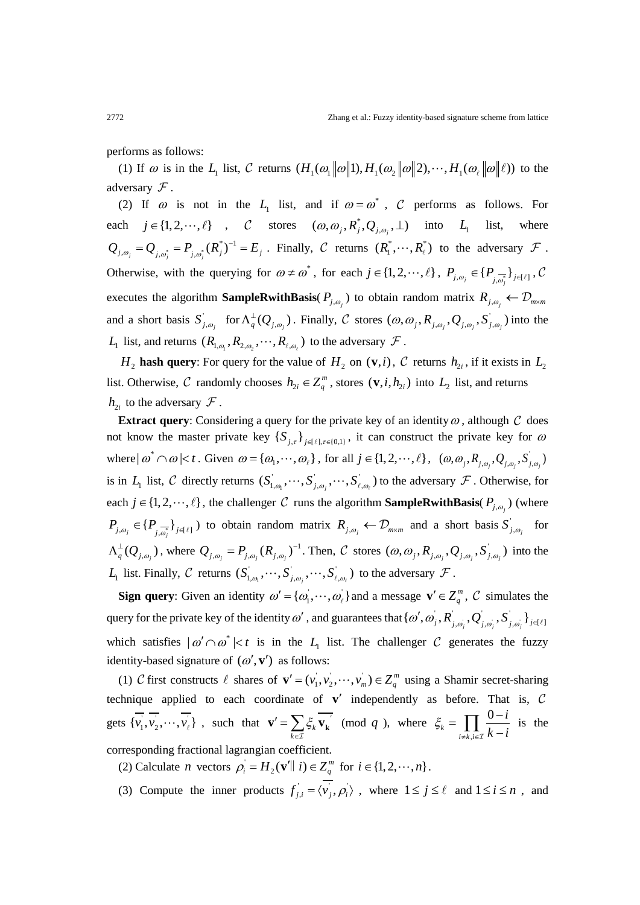performs as follows:

(1) If  $\omega$  is in the  $L_1$  list,  $\mathcal C$  returns  $(H_1(\omega, \|\omega\|1), H_1(\omega, \|\omega\|2), \cdots, H_1(\omega, \|\omega\|1))$  to the adversary  $\mathcal F$ .

(2) If  $\omega$  is not in the *L*<sub>1</sub> list, and if  $\omega = \omega^*$ , *C* performs as follows. For each  $j \in \{1, 2, \dots, \ell\}$ , C stores  $(\omega, \omega_j, R_j^*, Q_{j, \omega_j}, \perp)$  into  $L_1$  list, where  $Q_{j,\omega_j} = Q_{j,\omega_j^*} = P_{j,\omega_j^*}(R_j^*)^{-1} = E_j$ . Finally, C returns  $(R_1^*, \dots, R_\ell^*)$  to the adversary  $\mathcal F$ . Otherwise, with the querying for  $\omega \neq \omega^*$ , for each  $j \in \{1, 2, \dots, \ell\}$ ,  $P_{j, \omega_j} \in \{P_{j, \overline{\omega_j}}\}_{j \in \{\ell\}}$ ,  $C$ executes the algorithm **SampleRwithBasis**( $P_{i,\omega}$ ) to obtain random matrix  $R_{i,\omega}$ ,  $\leftarrow \mathcal{D}_{m \times m}$ and a short basis  $S'_{j,\omega_j}$  for  $\Lambda_q^{\perp}(Q_{j,\omega_j})$ . Finally, C stores  $(\omega,\omega_j, R_{j,\omega_j}, Q_{j,\omega_j}, S'_{j,\omega_j})$  into the  $L_1$  list, and returns  $(R_{1,\omega_1}, R_{2,\omega_2}, \cdots, R_{\ell,\omega_k})$  to the adversary  $\mathcal F$ .

*H*<sub>2</sub> **hash query**: For query for the value of *H*<sub>2</sub> on (**v**,*i*), *C* returns  $h_{2i}$ , if it exists in  $L_2$ list. Otherwise, C randomly chooses  $h_{2i} \in Z_q^m$ , stores  $(\mathbf{v}, i, h_{2i})$  into  $L_2$  list, and returns  $h_{2i}$  to the adversary  $\mathcal F$ .

**Extract query**: Considering a query for the private key of an identity  $\omega$ , although  $\mathcal C$  does not know the master private key  $\{S_{j,\tau}\}_{j \in [\ell], \tau \in [0,1]}$ , it can construct the private key for  $\omega$ where  $|\omega^* \cap \omega| < t$ . Given  $\omega = {\omega_1, \cdots, \omega_{\ell}}$ , for all  $j \in \{1, 2, \cdots, \ell\}$ ,  $(\omega, \omega_j, R_{j, \omega_j}, Q_{j, \omega_j}, S'_{j, \omega_j})$ is in  $L_1$  list, C directly returns  $(S_{1,\omega_1}, \dots, S_{j,\omega_j}, \dots, S_{\ell,\omega_\ell})$  to the adversary  $\mathcal F$ . Otherwise, for each  $j \in \{1, 2, \dots, \ell\}$ , the challenger C runs the algorithm **SampleRwithBasis**( $P_{j,\omega_j}$ ) (where  $P_{j,\omega_j} \in \{P_{j,\overline{\omega_j}}\}_{j \in \{\ell\}}$  b to obtain random matrix  $R_{j,\omega_j} \leftarrow \mathcal{D}_{m \times m}$  and a short basis  $S'_{j,\omega_j}$  for  $\Lambda_q^{\perp}(Q_{j,\omega_j})$ , where  $Q_{j,\omega_j} = P_{j,\omega_j}(R_{j,\omega_j})^{-1}$ . Then, C stores  $(\omega,\omega_j, R_{j,\omega_j}, Q_{j,\omega_j}, S_{j,\omega_j})$  into the  $L_1$  list. Finally, C returns  $(S'_{1,\omega_1}, \dots, S'_{j,\omega_j}, \dots, S'_{\ell,\omega_\ell})$  to the adversary  $\mathcal F$ .

**Sign query**: Given an identity  $\omega' = {\{\omega_1, \cdots, \omega_\ell\}}$  and a message  $\mathbf{v}' \in \mathbb{Z}_q^m$ ,  $\mathcal{C}$  simulates the query for the private key of the identity  $\omega'$  , and guarantees that  $\{\omega', \omega_j, R_{j, \omega_j}, Q_{j, \omega_j}, S_{j, \omega_j}\}_{j \in [\ell]}$ which satisfies  $| \omega' \cap \omega^* | < t$  is in the  $L_1$  list. The challenger C generates the fuzzy identity-based signature of  $(\omega', \mathbf{v}')$  as follows:

(1) C first constructs  $\ell$  shares of  $\mathbf{v}' = (v_1, v_2, \dots, v_m) \in \mathbb{Z}_q^m$  using a Shamir secret-sharing technique applied to each coordinate of  $v'$  independently as before. That is,  $C$ gets  $\{v_1, v_2, \dots, v_\ell\}$ , such that  $\mathbf{v}' = \sum_{k \in \mathcal{I}} \xi_k$  $\xi_k$   $\mathbf{v}_k$  $\mathbf{v}' = \sum_{k \in \mathcal{I}} \xi_k \, \mathbf{v}_k$ (mod  $q$ ), where ,  $\boldsymbol{0}$ *k*  $i \neq k, i$ *i*  $\zeta_k = \prod_{i \neq k, i \in \mathcal{I}} \frac{0 - i}{k - i}$  is the corresponding fractional lagrangian coefficient.

(2) Calculate *n* vectors  $\rho_i = H_2(\mathbf{v}' \parallel i) \in Z_q^m$  for  $i \in \{1, 2, \dots, n\}$ .

(3) Compute the inner products  $f_{j,i} = \langle v_j, \rho_i \rangle$ , where  $1 \le j \le \ell$  and  $1 \le i \le n$ , and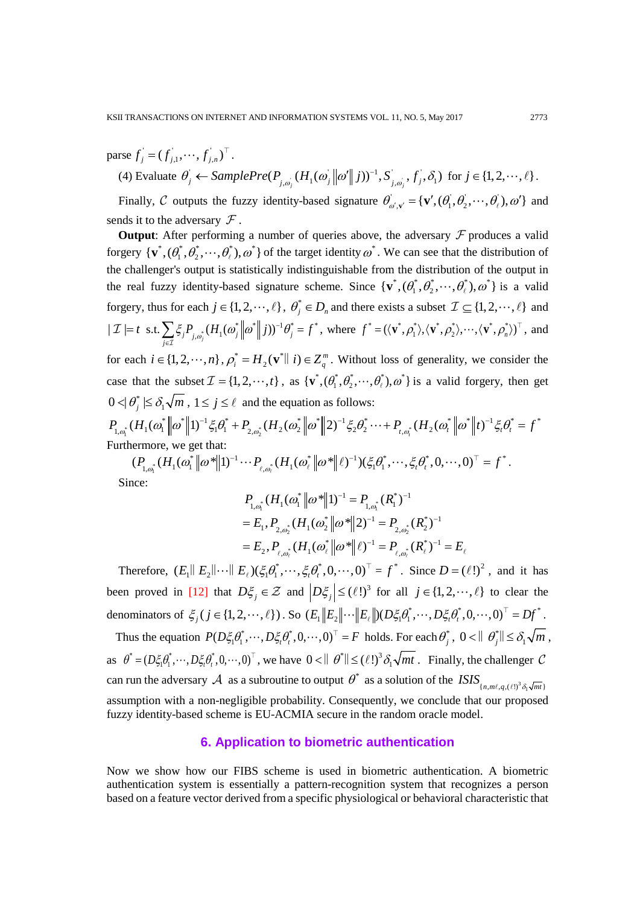$\text{parse } f_j = (f_{j,1}, \dots, f_{j,n})^\top.$ 

(4) Evaluate  $\theta_j \leftarrow SamplePre(P_{j,\omega_j}(H_1(\omega_j||\omega'||j))^{-1}, S_{j,\omega_j}, f_j, \delta_1)$  for  $j \in \{1, 2, \dots, \ell\}$ .

Finally, C outputs the fuzzy identity-based signature  $\theta'_{\omega',\mathbf{v}'} = {\mathbf{v}',(\theta_1',\theta_2',\dots,\theta_\ell',\theta_0')}$  and sends it to the adversary  $\mathcal F$ .

**Output**: After performing a number of queries above, the adversary  $F$  produces a valid forgery  $\{v^*, (\theta_1^*, \theta_2^*, \dots, \theta_\ell^*)$ ,  $\omega^*\}$  of the target identity  $\omega^*$ . We can see that the distribution of the challenger's output is statistically indistinguishable from the distribution of the output in the real fuzzy identity-based signature scheme. Since  $\{v^*, (\theta_1^*, \theta_2^*, \dots, \theta_\ell^*)$ ,  $\omega^*\}$  is a valid forgery, thus for each  $j \in \{1, 2, \dots, \ell\}$ ,  $\theta_i^* \in D_n$  and there exists a subset  $\mathcal{I} \subseteq \{1, 2, \dots, \ell\}$  and  $\| \mathcal{I} \| = t \text{ s.t.} \sum_{j \in \mathcal{I}} \xi_j P_{j, \omega_j^*} (H_1(\omega_j^* \| \omega^* \| j))^{-1} \theta_j^* = f^*$ , where  $f^* = (\langle \mathbf{v}^*, \rho_1^* \rangle, \langle \mathbf{v}^*, \rho_2^* \rangle, \dots, \langle \mathbf{v}^*, \rho_n^* \rangle)^\top$ , and for each  $i \in \{1, 2, \dots, n\}$ ,  $\rho_i^* = H_2(\mathbf{v}^* || i) \in Z_q^m$ . Without loss of generality, we consider the case that the subset  $\mathcal{I} = \{1, 2, \dots, t\}$ , as  $\{\mathbf{v}^*, (\theta_1^*, \theta_2^*, \dots, \theta_\ell^*)$ ,  $\omega^*\}$  is a valid forgery, then get  $0 < \theta_j^* \leq \delta_1 \sqrt{m}$ ,  $1 \leq j \leq \ell$  and the equation as follows:  $\frac{1}{2}$   $\left\| \begin{bmatrix} 1 \\ 0 \end{bmatrix} \right\|$   $\left\| \begin{bmatrix} 1 \\ 0 \end{bmatrix} \right\|$   $\left\| \begin{bmatrix} 1 \\ 0 \end{bmatrix} \right\|$   $\left\| \begin{bmatrix} 1 \\ 0 \end{bmatrix} \right\|$   $\left\| \begin{bmatrix} 1 \\ 0 \end{bmatrix} \right\|$   $\left\| \begin{bmatrix} 2 \\ 0 \end{bmatrix} \right\|$   $\left\| \begin{bmatrix} 2 \\ 0 \end{bmatrix} \right\|$   $\left\| \begin{bmatrix} 2 \\$  $P_{1,\omega_1^*} (H_1(\omega_1^*\left\|\omega^*\right\|1)^{-1} \xi_1 \theta_1^* + P_{2,\omega_2^*} (H_2(\omega_2^*\left\|\omega^*\right\|2)^{-1} \xi_2 \theta_2^* \cdots + P_{t,\omega_t^*} (H_2(\omega_t^*\left\|\omega^*\right\|t)^{-1} \xi_t \theta_t^* = f^* \quad .$ Furthermore, we get that:

 $\int_1^*$   $(11 \cdot 1)$   $(0)$   $\parallel$   $(1)$   $\parallel$   $(1)$   $\int_{\ell, \omega_{\ell}^*}$  $(P_{1,\omega_1^*}(H_1(\omega_1^*\|\omega^*\|1)^{-1}\cdots P_{\ell,\omega_\ell^*}(H_1(\omega_\ell^*\|\omega^*\|\ell)^{-1})(\xi_1\theta_1^*,\cdots,\xi_t\theta_t^*,0,\cdots,0)^\top = f^*.$ Since:

$$
P_{1,\omega_1^*}(H_1(\omega_1^* \| \omega^* \| 1)^{-1} = P_{1,\omega_1^*}(R_1^*)^{-1}
$$
  
=  $E_1, P_{2,\omega_2^*}(H_1(\omega_2^* \| \omega^* \| 2)^{-1} = P_{2,\omega_2^*}(R_2^*)^{-1}$   
=  $E_2, P_{\ell,\omega_\ell^*}(H_1(\omega_\ell^* \| \omega^* \| \ell)^{-1} = P_{\ell,\omega_\ell^*}(R_\ell^*)^{-1} = E_\ell$ 

Therefore,  $(E_1||E_2||\cdots||E_\ell)(\xi_1\theta_1^*,\cdots,\xi_\ell\theta_\ell^*,0,\cdots,0)^\top = f^*$ . Since  $D = (\ell!)^2$ , and it has been proved in [12] that  $D\xi_j \in \mathcal{Z}$  and  $\left|D\xi_j\right| \leq (\ell!)^3$  for all  $j \in \{1, 2, \dots, \ell\}$  to clear the denominators of  $\xi_j$  ( $j \in \{1, 2, \dots, \ell\}$ ). So  $(E_1 || E_2 || \cdots || E_\ell ||) (D\xi_1 \theta_1^*, \cdots, D\xi_r \theta_r^*, 0, \cdots, 0)^\top = Df^*$ .

Thus the equation  $P(D\xi_1\theta_1^*, \dots, D\xi_t\theta_t^*, 0, \dots, 0)^\top = F$  holds. For each  $\theta_j^*, 0 < ||\theta_j^*|| \leq \delta_1 \sqrt{m}$ , as  $\theta^* = (D \xi_1 \theta_1^*, \dots, D \xi_t \theta_t^*, 0, \dots, 0)^\top$ , we have  $0 < \theta \, \text{and} \, \theta^* \, \text{and} \, C \leq C \leq 1$ . Finally, the challenger  $C$ can run the adversary  $A$  as a subroutine to output  $\theta^*$  as a solution of the  $ISIS_{n,m\ell,q,(\ell!)^3\delta_1\sqrt{mt}}$ assumption with a non-negligible probability. Consequently, we conclude that our proposed fuzzy identity-based scheme is EU-ACMIA secure in the random oracle model.

#### **6. Application to biometric authentication**

Now we show how our FIBS scheme is used in biometric authentication. A biometric authentication system is essentially a pattern-recognition system that recognizes a person based on a feature vector derived from a specific physiological or behavioral characteristic that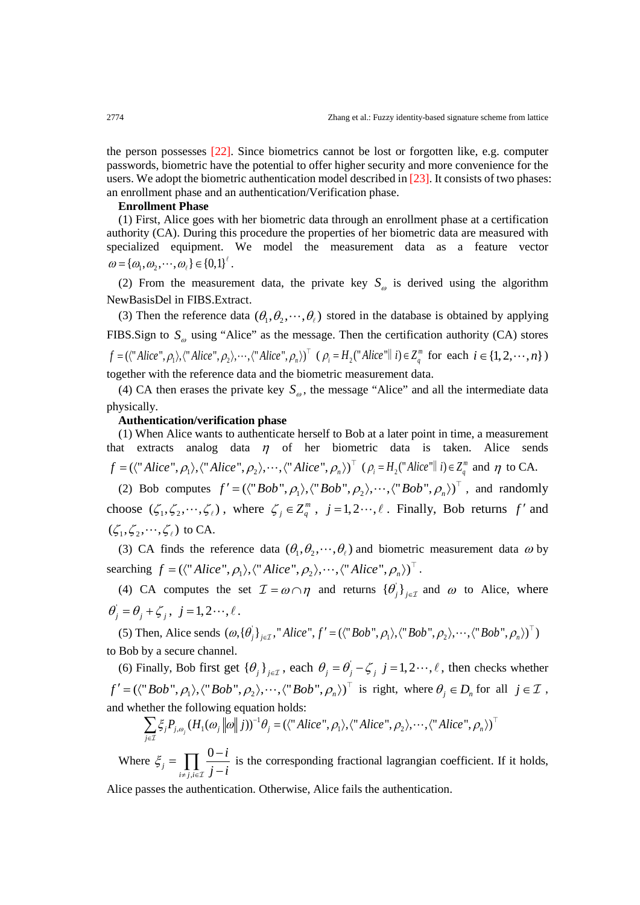the person possesses [22]. Since biometrics cannot be lost or forgotten like, e.g. computer passwords, biometric have the potential to offer higher security and more convenience for the users. We adopt the biometric authentication model described in [23]. It consists of two phases: an enrollment phase and an authentication/Verification phase.

#### **Enrollment Phase**

(1) First, Alice goes with her biometric data through an enrollment phase at a certification authority (CA). During this procedure the properties of her biometric data are measured with specialized equipment. We model the measurement data as a feature vector  $\omega = {\{\omega_1, \omega_2, \cdots, \omega_\ell\}} \in {\{0,1\}}^{\ell}.$ 

(2) From the measurement data, the private key  $S_{\omega}$  is derived using the algorithm NewBasisDel in FIBS.Extract.

(3) Then the reference data  $(\theta_1, \theta_2, \dots, \theta_\ell)$  stored in the database is obtained by applying FIBS.Sign to  $S_{\omega}$  using "Alice" as the message. Then the certification authority (CA) stores  $f = (\langle "Alice", \rho_1 \rangle, \langle "Alice", \rho_2 \rangle, \cdots, \langle "Alice", \rho_n \rangle)^\top$  ( $\rho_i = H_2("Alice"] \ni i \in \mathbb{Z}_q^m$  for each  $i \in \{1, 2, \cdots, n\}$ ) together with the reference data and the biometric measurement data.

(4) CA then erases the private key  $S_{\omega}$ , the message "Alice" and all the intermediate data physically.

#### **Authentication/verification phase**

(1) When Alice wants to authenticate herself to Bob at a later point in time, a measurement that extracts analog data  $\eta$  of her biometric data is taken. Alice sends  $f = (\langle "Alice", \rho_1 \rangle, \langle "Alice", \rho_2 \rangle, \cdots, \langle "Alice", \rho_n \rangle)^\top$   $(\rho_i = H_2("Alice" || i) \in Z_q^m$  and  $\eta$  to CA.

(2) Bob computes  $f' = (\langle "Bob", \rho_1 \rangle, \langle "Bob", \rho_2 \rangle, \cdots, \langle "Bob", \rho_n \rangle)^T$ , and randomly choose  $(\zeta_1, \zeta_2, \dots, \zeta_\ell)$ , where  $\zeta_i \in Z_a^m$ ,  $j = 1, 2 \dots, \ell$ . Finally, Bob returns f' and  $(\zeta_1, \zeta_2, \cdots, \zeta_\ell)$  to CA.

(3) CA finds the reference data  $(\theta_1, \theta_2, \dots, \theta_\ell)$  and biometric measurement data  $\omega$  by searching  $f = (\langle "Alice", \rho_1 \rangle, \langle "Alice", \rho_2 \rangle, \cdots, \langle "Alice", \rho_n \rangle)^\top$ .

(4) CA computes the set  $\mathcal{I} = \omega \cap \eta$  and returns  ${\{\theta_i^i\}}_{i \in \mathcal{I}}$  and  $\omega$  to Alice, where  $\theta_j = \theta_j + \zeta_j, \ j = 1, 2 \cdots, \ell$ .

(5) Then, Alice sends  $(\omega, {\{\theta_j^i\}}_{j \in \mathcal{I}}$ , "Alice",  $f' = (\langle "Bob", \rho_1 \rangle, \langle "Bob", \rho_2 \rangle, \cdots, \langle "Bob", \rho_n \rangle)^\top)$ to Bob by a secure channel.

(6) Finally, Bob first get  $\{\theta_i\}_{i \in \mathcal{I}}$ , each  $\theta_i = \theta_i - \zeta_i$ ,  $j = 1, 2 \cdots, \ell$ , then checks whether  $f' = (\langle "Bob", \rho_1 \rangle, \langle "Bob", \rho_2 \rangle, \cdots, \langle "Bob", \rho_n \rangle)^{\top}$  is right, where  $\theta_j \in D_n$  for all  $j \in \mathcal{I}$ , and whether the following equation holds:

$$
\sum_{j\in\mathcal{I}}\xi_j P_{j,\omega_j}(H_1(\omega_j||\omega||j))^{-1}\theta_j = (\langle \text{``Alice''}, \rho_1 \rangle, \langle \text{``Alice''}, \rho_2 \rangle, \cdots, \langle \text{``Alice''}, \rho_n \rangle)^{\top}
$$

Where , 0 *j*  $i \neq j, i$ *i*  $\xi_j = \prod_{i \neq j, i \in \mathcal{I}} \frac{0-i}{j-i}$  is the corresponding fractional lagrangian coefficient. If it holds,

Alice passes the authentication. Otherwise, Alice fails the authentication.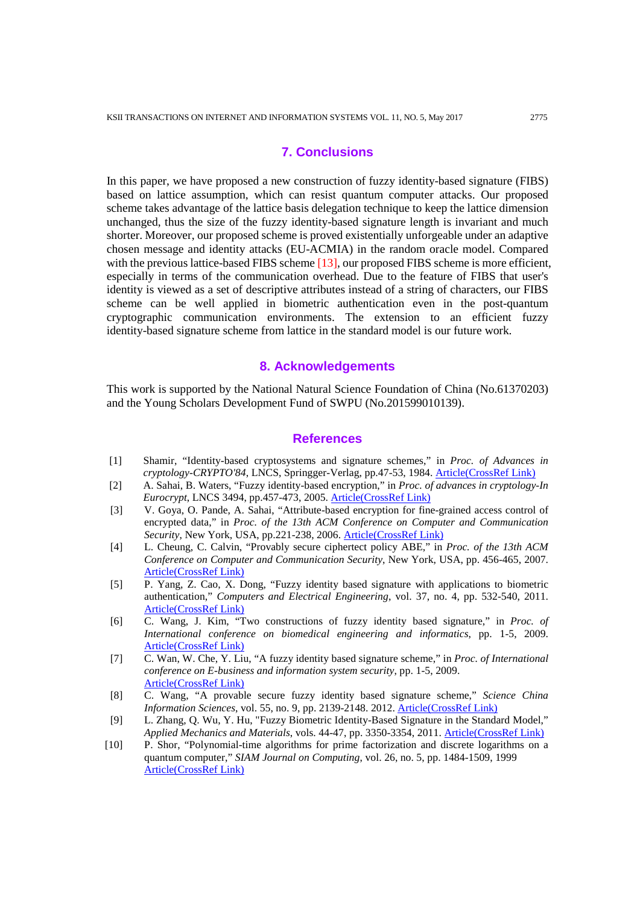# **7. Conclusions**

In this paper, we have proposed a new construction of fuzzy identity-based signature (FIBS) based on lattice assumption, which can resist quantum computer attacks. Our proposed scheme takes advantage of the lattice basis delegation technique to keep the lattice dimension unchanged, thus the size of the fuzzy identity-based signature length is invariant and much shorter. Moreover, our proposed scheme is proved existentially unforgeable under an adaptive chosen message and identity attacks (EU-ACMIA) in the random oracle model. Compared with the previous lattice-based FIBS scheme [13], our proposed FIBS scheme is more efficient, especially in terms of the communication overhead. Due to the feature of FIBS that user's identity is viewed as a set of descriptive attributes instead of a string of characters, our FIBS scheme can be well applied in biometric authentication even in the post-quantum cryptographic communication environments. The extension to an efficient fuzzy identity-based signature scheme from lattice in the standard model is our future work.

#### **8. Acknowledgements**

This work is supported by the National Natural Science Foundation of China (No.61370203) and the Young Scholars Development Fund of SWPU (No.201599010139).

#### **References**

- [1] Shamir, "Identity-based cryptosystems and signature schemes," in *Proc. of Advances in cryptology-CRYPTO'84*, LNCS, Springger-Verlag, pp.47-53, 1984. [Article\(CrossRef Link\)](http://dx.doi.org/%20doi:10.1007/3-540-39568-7_5)
- [2] A. Sahai, B. Waters, "Fuzzy identity-based encryption," in *Proc. of advances in cryptology-In Eurocrypt*, LNCS 3494, pp.457-473, 2005. [Article\(CrossRef Link\)](http://dx.doi.org/%20doi:10.1007/11426639_27)
- [3] V. Goya, O. Pande, A. Sahai, "Attribute-based encryption for fine-grained access control of encrypted data," in *Proc. of the 13th ACM Conference on Computer and Communication Security*, New York, USA, pp.221-238, 2006. [Article\(CrossRef Link\)](http://dx.doi.org/%20doi:10.1145/1180405.1180418)
- [4] L. Cheung, C. Calvin, "Provably secure ciphertect policy ABE," in *Proc. of the 13th ACM Conference on Computer and Communication Security*, New York, USA, pp. 456-465, 2007. [Article\(CrossRef Link\)](http://dx.doi.org/%20doi:10.1145/1315245.1315302)
- [5] P. Yang, Z. Cao, X. Dong, "Fuzzy identity based signature with applications to biometric authentication," *Computers and Electrical Engineering*, vol. 37, no. 4, pp. 532-540, 2011. [Article\(CrossRef Link\)](http://dx.doi.org/%20doi:10.1016/j.compeleceng.2011.04.013)
- [6] C. Wang, J. Kim, "Two constructions of fuzzy identity based signature," in *Proc. of International conference on biomedical engineering and informatics*, pp. 1-5, 2009. [Article\(CrossRef Link\)](http://dx.doi.org/%20doi:10.1109/BMEI.2009.5305820)
- [7] C. Wan, W. Che, Y. Liu, "A fuzzy identity based signature scheme," in *Proc. of International conference on E-business and information system security*, pp. 1-5, 2009. [Article\(CrossRef Link\)](http://dx.doi.org/%20doi:10.1109/EBISS.2009.5137871)
- [8] C. Wang, "A provable secure fuzzy identity based signature scheme," *Science China Information Sciences*, vol. 55, no. 9, pp. 2139-2148. 2012. [Article\(CrossRef Link\)](http://dx.doi.org/%20doi:10.1007/s11432-011-4454-x)
- [9] L. Zhang, Q. Wu, Y. Hu, "Fuzzy Biometric Identity-Based Signature in the Standard Model," *Applied Mechanics and Materials*, vols. 44-47, pp. 3350-3354, 2011. [Article\(CrossRef Link\)](http://dx.doi.org/%20doi:10.4028/www.scientific.net/AMM.44-47.3350)
- [10] P. Shor, "Polynomial-time algorithms for prime factorization and discrete logarithms on a quantum computer," *SIAM Journal on Computing*, vol. 26, no. 5, pp. 1484-1509, 1999 [Article\(CrossRef Link\)](http://dx.doi.org/%20doi:10.1137/S0097539795293172)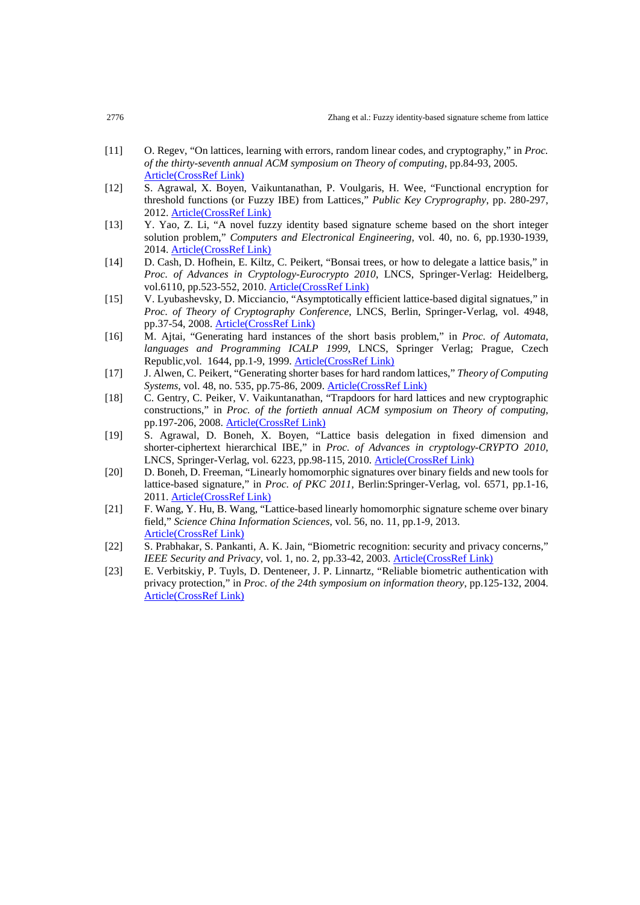- [11] O. Regev, "On lattices, learning with errors, random linear codes, and cryptography," in *Proc. of the thirty-seventh annual ACM symposium on Theory of computing*, pp.84-93, 2005. [Article\(CrossRef Link\)](http://dx.doi.org/%20doi:10.1145/1060590.1060603)
- [12] S. Agrawal, X. Boyen, Vaikuntanathan, P. Voulgaris, H. Wee, "Functional encryption for threshold functions (or Fuzzy IBE) from Lattices," *Public Key Cryprography*, pp. 280-297, 2012. [Article\(CrossRef Link\)](http://dx.doi.org/%20doi:10.1007/978-3-642-30057-8_17)
- [13] Y. Yao, Z. Li, "A novel fuzzy identity based signature scheme based on the short integer solution problem," *Computers and Electronical Engineering*, vol. 40, no. 6, pp.1930-1939, 2014. [Article\(CrossRef Link\)](http://dx.doi.org/%20doi:10.1016/j.compeleceng.2013.09.005)
- [14] D. Cash, D. Hofhein, E. Kiltz, C. Peikert, "Bonsai trees, or how to delegate a lattice basis," in *Proc. of Advances in Cryptology-Eurocrypto 2010*, LNCS, Springer-Verlag: Heidelberg, vol.6110, pp.523-552, 2010. [Article\(CrossRef Link\)](http://dx.doi.org/%20doi:10.1007/978-3-642-13190-5_27)
- [15] V. Lyubashevsky, D. Micciancio, "Asymptotically efficient lattice-based digital signatues," in *Proc. of Theory of Cryptography Conference*, LNCS, Berlin, Springer-Verlag, vol. 4948, pp.37-54, 2008. [Article\(CrossRef Link\)](http://dx.doi.org/%20doi:10.1007/978-3-540-78524-8_3)
- [16] M. Ajtai, "Generating hard instances of the short basis problem," in *Proc. of Automata, languages and Programming ICALP 1999*, LNCS, Springer Verlag; Prague, Czech Republic,vol. 1644, pp.1-9, 1999. [Article\(CrossRef Link\)](http://dx.doi.org/%20doi:10.1007/3-540-48523-6_1)
- [17] J. Alwen, C. Peikert, "Generating shorter bases for hard random lattices," *[Theory of Computing](https://link.springer.com/journal/224)  [Systems](https://link.springer.com/journal/224)*, vol. 48, no. 535, pp.75-86, 2009[. Article\(CrossRef Link\)](http://dx.doi.org/%20doi:10.1007/s00224-010-9278-3)
- [18] C. Gentry, C. Peiker, V. Vaikuntanathan, "Trapdoors for hard lattices and new cryptographic constructions," in *Proc. of the fortieth annual ACM symposium on Theory of computing*, pp.197-206, 2008. [Article\(CrossRef Link\)](http://dx.doi.org/%20doi:10.1145/1374376.1374407)
- [19] S. Agrawal, D. Boneh, X. Boyen, "Lattice basis delegation in fixed dimension and shorter-ciphertext hierarchical IBE," in *Proc. of Advances in cryptology-CRYPTO 2010*, LNCS, Springer-Verlag, vol. 6223, pp.98-115, 2010[. Article\(CrossRef Link\)](http://dx.doi.org/%20doi:10.1007/978-3-642-14623-7_6)
- [20] D. Boneh, D. Freeman, "Linearly homomorphic signatures over binary fields and new tools for lattice-based signature," in *Proc. of PKC 2011*, Berlin:Springer-Verlag, vol. 6571, pp.1-16, 2011. [Article\(CrossRef Link\)](http://dx.doi.org/%20doi:10.1007/978-3-642-14623-7_6)
- [21] F. Wang, Y. Hu, B. Wang, "Lattice-based linearly homomorphic signature scheme over binary field," *Science China Information Sciences*, vol. 56, no. 11, pp.1-9, 2013. [Article\(CrossRef](http://dx.doi.org/%20doi:10.1007/s11432-012-4681-9) Link)
- [22] S. Prabhakar, S. Pankanti, A. K. Jain, "Biometric recognition: security and privacy concerns," *IEEE Security and Privacy*, vol. 1, no. 2, pp.33-42, 2003. [Article\(CrossRef Link\)](http://dx.doi.org/%20doi:10.1109/MSECP.2003.1193209)
- [23] E. Verbitskiy, P. Tuyls, D. Denteneer, J. P. Linnartz, "Reliable biometric authentication with privacy protection," in *Proc. of the 24th symposium on information theory*, pp.125-132, 2004. [Article\(CrossRef Link\)](http://dx.doi.org/%20doi:10.1.1.79.8181)